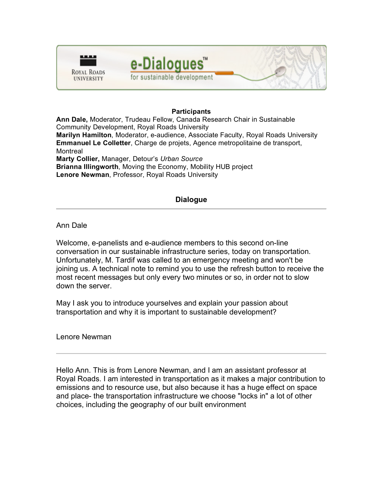

### **Participants**

e-Dialogues<sup>"</sup>

for sustainable development

**Ann Dale,** Moderator, Trudeau Fellow, Canada Research Chair in Sustainable Community Development, Royal Roads University **Marilyn Hamilton**, Moderator, e-audience, Associate Faculty, Royal Roads University **Emmanuel Le Colletter**, Charge de projets, Agence metropolitaine de transport, **Montreal Marty Collier,** Manager, Detour's *Urban Source* **Brianna Illingworth**, Moving the Economy, Mobility HUB project **Lenore Newman**, Professor, Royal Roads University

#### **Dialogue**

#### Ann Dale

Welcome, e-panelists and e-audience members to this second on-line conversation in our sustainable infrastructure series, today on transportation. Unfortunately, M. Tardif was called to an emergency meeting and won't be joining us. A technical note to remind you to use the refresh button to receive the most recent messages but only every two minutes or so, in order not to slow down the server.

May I ask you to introduce yourselves and explain your passion about transportation and why it is important to sustainable development?

Lenore Newman

Hello Ann. This is from Lenore Newman, and I am an assistant professor at Royal Roads. I am interested in transportation as it makes a major contribution to emissions and to resource use, but also because it has a huge effect on space and place- the transportation infrastructure we choose "locks in" a lot of other choices, including the geography of our built environment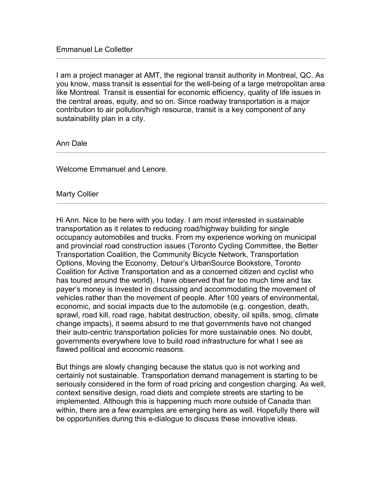I am a project manager at AMT, the regional transit authority in Montreal, QC. As you know, mass transit is essential for the well-being of a large metropolitan area like Montreal. Transit is essential for economic efficiency, quality of life issues in the central areas, equity, and so on. Since roadway transportation is a major contribution to air pollution/high resource, transit is a key component of any sustainability plan in a city.

Ann Dale

Welcome Emmanuel and Lenore.

Marty Collier

Hi Ann. Nice to be here with you today. I am most interested in sustainable transportation as it relates to reducing road/highway building for single occupancy automobiles and trucks. From my experience working on municipal and provincial road construction issues (Toronto Cycling Committee, the Better Transportation Coalition, the Community Bicycle Network, Transportation Options, Moving the Economy, Detour's UrbanSource Bookstore, Toronto Coalition for Active Transportation and as a concerned citizen and cyclist who has toured around the world), I have observed that far too much time and tax payer's money is invested in discussing and accommodating the movement of vehicles rather than the movement of people. After 100 years of environmental, economic, and social impacts due to the automobile (e.g. congestion, death, sprawl, road kill, road rage, habitat destruction, obesity, oil spills, smog, climate change impacts), it seems absurd to me that governments have not changed their auto-centric transportation policies for more sustainable ones. No doubt, governments everywhere love to build road infrastructure for what I see as flawed political and economic reasons.

But things are slowly changing because the status quo is not working and certainly not sustainable. Transportation demand management is starting to be seriously considered in the form of road pricing and congestion charging. As well, context sensitive design, road diets and complete streets are starting to be implemented. Although this is happening much more outside of Canada than within, there are a few examples are emerging here as well. Hopefully there will be opportunities during this e-dialogue to discuss these innovative ideas.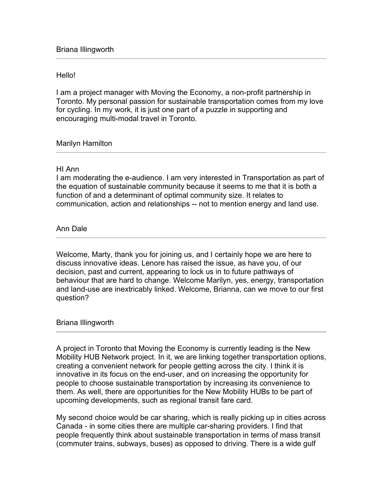## Hello!

I am a project manager with Moving the Economy, a non-profit partnership in Toronto. My personal passion for sustainable transportation comes from my love for cycling. In my work, it is just one part of a puzzle in supporting and encouraging multi-modal travel in Toronto.

## Marilyn Hamilton

### HI Ann

I am moderating the e-audience. I am very interested in Transportation as part of the equation of sustainable community because it seems to me that it is both a function of and a determinant of optimal community size. It relates to communication, action and relationships -- not to mention energy and land use.

## Ann Dale

Welcome, Marty, thank you for joining us, and I certainly hope we are here to discuss innovative ideas. Lenore has raised the issue, as have you, of our decision, past and current, appearing to lock us in to future pathways of behaviour that are hard to change. Welcome Marilyn, yes, energy, transportation and land-use are inextricably linked. Welcome, Brianna, can we move to our first question?

### Briana Illingworth

A project in Toronto that Moving the Economy is currently leading is the New Mobility HUB Network project. In it, we are linking together transportation options, creating a convenient network for people getting across the city. I think it is innovative in its focus on the end-user, and on increasing the opportunity for people to choose sustainable transportation by increasing its convenience to them. As well, there are opportunities for the New Mobility HUBs to be part of upcoming developments, such as regional transit fare card.

My second choice would be car sharing, which is really picking up in cities across Canada - in some cities there are multiple car-sharing providers. I find that people frequently think about sustainable transportation in terms of mass transit (commuter trains, subways, buses) as opposed to driving. There is a wide gulf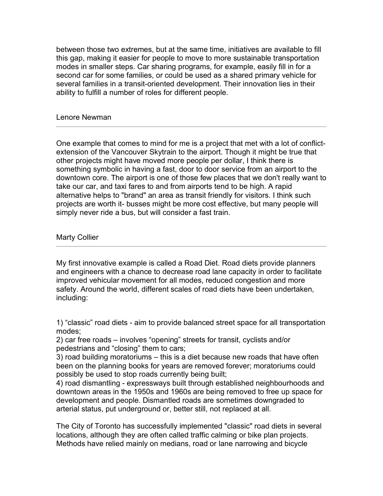between those two extremes, but at the same time, initiatives are available to fill this gap, making it easier for people to move to more sustainable transportation modes in smaller steps. Car sharing programs, for example, easily fill in for a second car for some families, or could be used as a shared primary vehicle for several families in a transit-oriented development. Their innovation lies in their ability to fulfill a number of roles for different people.

Lenore Newman

One example that comes to mind for me is a project that met with a lot of conflictextension of the Vancouver Skytrain to the airport. Though it might be true that other projects might have moved more people per dollar, I think there is something symbolic in having a fast, door to door service from an airport to the downtown core. The airport is one of those few places that we don't really want to take our car, and taxi fares to and from airports tend to be high. A rapid alternative helps to "brand" an area as transit friendly for visitors. I think such projects are worth it- busses might be more cost effective, but many people will simply never ride a bus, but will consider a fast train.

### Marty Collier

My first innovative example is called a Road Diet. Road diets provide planners and engineers with a chance to decrease road lane capacity in order to facilitate improved vehicular movement for all modes, reduced congestion and more safety. Around the world, different scales of road diets have been undertaken, including:

1) "classic" road diets - aim to provide balanced street space for all transportation modes;

2) car free roads – involves "opening" streets for transit, cyclists and/or pedestrians and "closing" them to cars;

3) road building moratoriums – this is a diet because new roads that have often been on the planning books for years are removed forever; moratoriums could possibly be used to stop roads currently being built;

4) road dismantling - expressways built through established neighbourhoods and downtown areas in the 1950s and 1960s are being removed to free up space for development and people. Dismantled roads are sometimes downgraded to arterial status, put underground or, better still, not replaced at all.

The City of Toronto has successfully implemented "classic" road diets in several locations, although they are often called traffic calming or bike plan projects. Methods have relied mainly on medians, road or lane narrowing and bicycle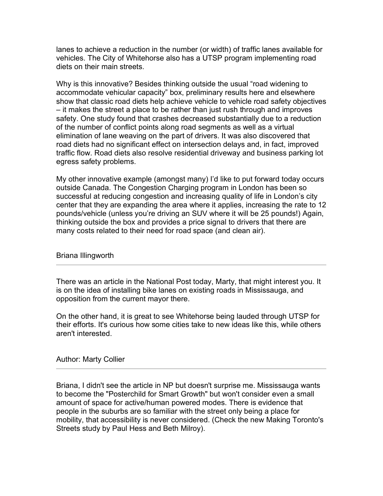lanes to achieve a reduction in the number (or width) of traffic lanes available for vehicles. The City of Whitehorse also has a UTSP program implementing road diets on their main streets.

Why is this innovative? Besides thinking outside the usual "road widening to accommodate vehicular capacity" box, preliminary results here and elsewhere show that classic road diets help achieve vehicle to vehicle road safety objectives – it makes the street a place to be rather than just rush through and improves safety. One study found that crashes decreased substantially due to a reduction of the number of conflict points along road segments as well as a virtual elimination of lane weaving on the part of drivers. It was also discovered that road diets had no significant effect on intersection delays and, in fact, improved traffic flow. Road diets also resolve residential driveway and business parking lot egress safety problems.

My other innovative example (amongst many) I'd like to put forward today occurs outside Canada. The Congestion Charging program in London has been so successful at reducing congestion and increasing quality of life in London's city center that they are expanding the area where it applies, increasing the rate to 12 pounds/vehicle (unless you're driving an SUV where it will be 25 pounds!) Again, thinking outside the box and provides a price signal to drivers that there are many costs related to their need for road space (and clean air).

# Briana Illingworth

There was an article in the National Post today, Marty, that might interest you. It is on the idea of installing bike lanes on existing roads in Mississauga, and opposition from the current mayor there.

On the other hand, it is great to see Whitehorse being lauded through UTSP for their efforts. It's curious how some cities take to new ideas like this, while others aren't interested.

### Author: Marty Collier

Briana, I didn't see the article in NP but doesn't surprise me. Mississauga wants to become the "Posterchild for Smart Growth" but won't consider even a small amount of space for active/human powered modes. There is evidence that people in the suburbs are so familiar with the street only being a place for mobility, that accessibility is never considered. (Check the new Making Toronto's Streets study by Paul Hess and Beth Milroy).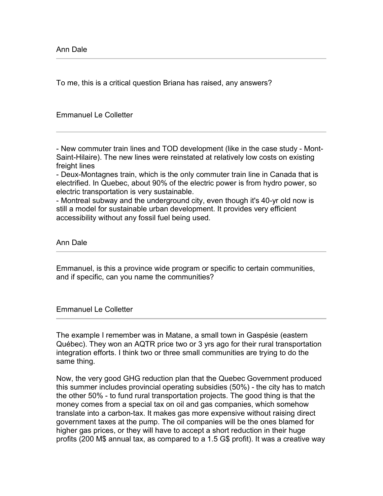To me, this is a critical question Briana has raised, any answers?

### Emmanuel Le Colletter

- New commuter train lines and TOD development (like in the case study - Mont-Saint-Hilaire). The new lines were reinstated at relatively low costs on existing freight lines

- Deux-Montagnes train, which is the only commuter train line in Canada that is electrified. In Quebec, about 90% of the electric power is from hydro power, so electric transportation is very sustainable.

- Montreal subway and the underground city, even though it's 40-yr old now is still a model for sustainable urban development. It provides very efficient accessibility without any fossil fuel being used.

### Ann Dale

Emmanuel, is this a province wide program or specific to certain communities, and if specific, can you name the communities?

### Emmanuel Le Colletter

The example I remember was in Matane, a small town in Gaspésie (eastern Québec). They won an AQTR price two or 3 yrs ago for their rural transportation integration efforts. I think two or three small communities are trying to do the same thing.

Now, the very good GHG reduction plan that the Quebec Government produced this summer includes provincial operating subsidies (50%) - the city has to match the other 50% - to fund rural transportation projects. The good thing is that the money comes from a special tax on oil and gas companies, which somehow translate into a carbon-tax. It makes gas more expensive without raising direct government taxes at the pump. The oil companies will be the ones blamed for higher gas prices, or they will have to accept a short reduction in their huge profits (200 M\$ annual tax, as compared to a 1.5 G\$ profit). It was a creative way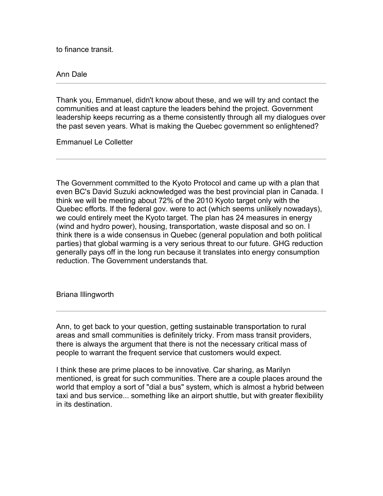to finance transit.

## Ann Dale

Thank you, Emmanuel, didn't know about these, and we will try and contact the communities and at least capture the leaders behind the project. Government leadership keeps recurring as a theme consistently through all my dialogues over the past seven years. What is making the Quebec government so enlightened?

Emmanuel Le Colletter

The Government committed to the Kyoto Protocol and came up with a plan that even BC's David Suzuki acknowledged was the best provincial plan in Canada. I think we will be meeting about 72% of the 2010 Kyoto target only with the Quebec efforts. If the federal gov. were to act (which seems unlikely nowadays), we could entirely meet the Kyoto target. The plan has 24 measures in energy (wind and hydro power), housing, transportation, waste disposal and so on. I think there is a wide consensus in Quebec (general population and both political parties) that global warming is a very serious threat to our future. GHG reduction generally pays off in the long run because it translates into energy consumption reduction. The Government understands that.

Briana Illingworth

Ann, to get back to your question, getting sustainable transportation to rural areas and small communities is definitely tricky. From mass transit providers, there is always the argument that there is not the necessary critical mass of people to warrant the frequent service that customers would expect.

I think these are prime places to be innovative. Car sharing, as Marilyn mentioned, is great for such communities. There are a couple places around the world that employ a sort of "dial a bus" system, which is almost a hybrid between taxi and bus service... something like an airport shuttle, but with greater flexibility in its destination.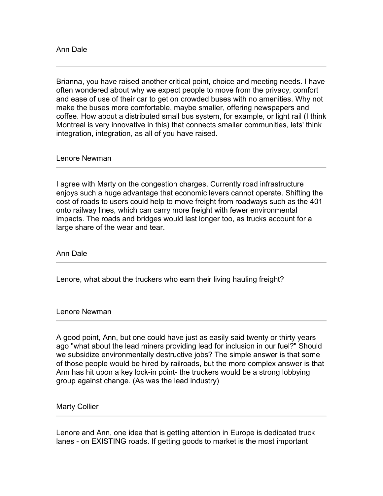Brianna, you have raised another critical point, choice and meeting needs. I have often wondered about why we expect people to move from the privacy, comfort and ease of use of their car to get on crowded buses with no amenities. Why not make the buses more comfortable, maybe smaller, offering newspapers and coffee. How about a distributed small bus system, for example, or light rail (I think Montreal is very innovative in this) that connects smaller communities, lets' think integration, integration, as all of you have raised.

#### Lenore Newman

I agree with Marty on the congestion charges. Currently road infrastructure enjoys such a huge advantage that economic levers cannot operate. Shifting the cost of roads to users could help to move freight from roadways such as the 401 onto railway lines, which can carry more freight with fewer environmental impacts. The roads and bridges would last longer too, as trucks account for a large share of the wear and tear.

Ann Dale

Lenore, what about the truckers who earn their living hauling freight?

### Lenore Newman

A good point, Ann, but one could have just as easily said twenty or thirty years ago "what about the lead miners providing lead for inclusion in our fuel?" Should we subsidize environmentally destructive jobs? The simple answer is that some of those people would be hired by railroads, but the more complex answer is that Ann has hit upon a key lock-in point- the truckers would be a strong lobbying group against change. (As was the lead industry)

Marty Collier

Lenore and Ann, one idea that is getting attention in Europe is dedicated truck lanes - on EXISTING roads. If getting goods to market is the most important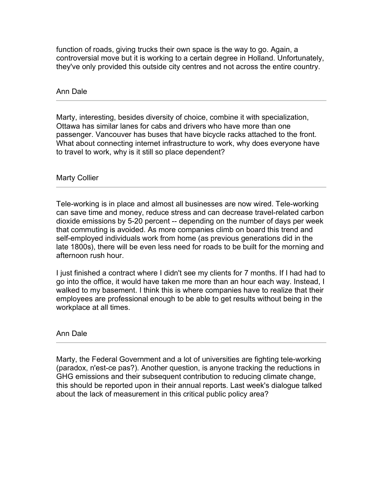function of roads, giving trucks their own space is the way to go. Again, a controversial move but it is working to a certain degree in Holland. Unfortunately, they've only provided this outside city centres and not across the entire country.

## Ann Dale

Marty, interesting, besides diversity of choice, combine it with specialization, Ottawa has similar lanes for cabs and drivers who have more than one passenger. Vancouver has buses that have bicycle racks attached to the front. What about connecting internet infrastructure to work, why does everyone have to travel to work, why is it still so place dependent?

## Marty Collier

Tele-working is in place and almost all businesses are now wired. Tele-working can save time and money, reduce stress and can decrease travel-related carbon dioxide emissions by 5-20 percent -- depending on the number of days per week that commuting is avoided. As more companies climb on board this trend and self-employed individuals work from home (as previous generations did in the late 1800s), there will be even less need for roads to be built for the morning and afternoon rush hour.

I just finished a contract where I didn't see my clients for 7 months. If I had had to go into the office, it would have taken me more than an hour each way. Instead, I walked to my basement. I think this is where companies have to realize that their employees are professional enough to be able to get results without being in the workplace at all times.

### Ann Dale

Marty, the Federal Government and a lot of universities are fighting tele-working (paradox, n'est-ce pas?). Another question, is anyone tracking the reductions in GHG emissions and their subsequent contribution to reducing climate change, this should be reported upon in their annual reports. Last week's dialogue talked about the lack of measurement in this critical public policy area?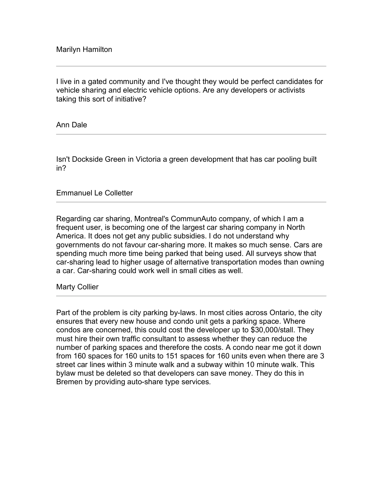Marilyn Hamilton

I live in a gated community and I've thought they would be perfect candidates for vehicle sharing and electric vehicle options. Are any developers or activists taking this sort of initiative?

Ann Dale

Isn't Dockside Green in Victoria a green development that has car pooling built in?

Emmanuel Le Colletter

Regarding car sharing, Montreal's CommunAuto company, of which I am a frequent user, is becoming one of the largest car sharing company in North America. It does not get any public subsidies. I do not understand why governments do not favour car-sharing more. It makes so much sense. Cars are spending much more time being parked that being used. All surveys show that car-sharing lead to higher usage of alternative transportation modes than owning a car. Car-sharing could work well in small cities as well.

Marty Collier

Part of the problem is city parking by-laws. In most cities across Ontario, the city ensures that every new house and condo unit gets a parking space. Where condos are concerned, this could cost the developer up to \$30,000/stall. They must hire their own traffic consultant to assess whether they can reduce the number of parking spaces and therefore the costs. A condo near me got it down from 160 spaces for 160 units to 151 spaces for 160 units even when there are 3 street car lines within 3 minute walk and a subway within 10 minute walk. This bylaw must be deleted so that developers can save money. They do this in Bremen by providing auto-share type services.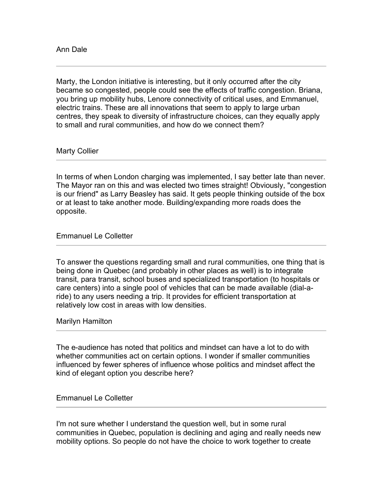Ann Dale

Marty, the London initiative is interesting, but it only occurred after the city became so congested, people could see the effects of traffic congestion. Briana, you bring up mobility hubs, Lenore connectivity of critical uses, and Emmanuel, electric trains. These are all innovations that seem to apply to large urban centres, they speak to diversity of infrastructure choices, can they equally apply to small and rural communities, and how do we connect them?

#### Marty Collier

In terms of when London charging was implemented, I say better late than never. The Mayor ran on this and was elected two times straight! Obviously, "congestion is our friend" as Larry Beasley has said. It gets people thinking outside of the box or at least to take another mode. Building/expanding more roads does the opposite.

### Emmanuel Le Colletter

To answer the questions regarding small and rural communities, one thing that is being done in Quebec (and probably in other places as well) is to integrate transit, para transit, school buses and specialized transportation (to hospitals or care centers) into a single pool of vehicles that can be made available (dial-aride) to any users needing a trip. It provides for efficient transportation at relatively low cost in areas with low densities.

### Marilyn Hamilton

The e-audience has noted that politics and mindset can have a lot to do with whether communities act on certain options. I wonder if smaller communities influenced by fewer spheres of influence whose politics and mindset affect the kind of elegant option you describe here?

### Emmanuel Le Colletter

I'm not sure whether I understand the question well, but in some rural communities in Quebec, population is declining and aging and really needs new mobility options. So people do not have the choice to work together to create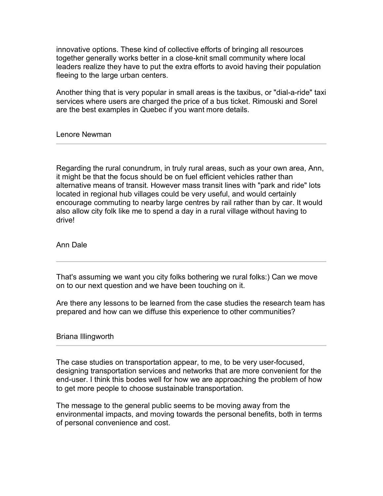innovative options. These kind of collective efforts of bringing all resources together generally works better in a close-knit small community where local leaders realize they have to put the extra efforts to avoid having their population fleeing to the large urban centers.

Another thing that is very popular in small areas is the taxibus, or "dial-a-ride" taxi services where users are charged the price of a bus ticket. Rimouski and Sorel are the best examples in Quebec if you want more details.

Lenore Newman

Regarding the rural conundrum, in truly rural areas, such as your own area, Ann, it might be that the focus should be on fuel efficient vehicles rather than alternative means of transit. However mass transit lines with "park and ride" lots located in regional hub villages could be very useful, and would certainly encourage commuting to nearby large centres by rail rather than by car. It would also allow city folk like me to spend a day in a rural village without having to drive!

Ann Dale

That's assuming we want you city folks bothering we rural folks:) Can we move on to our next question and we have been touching on it.

Are there any lessons to be learned from the case studies the research team has prepared and how can we diffuse this experience to other communities?

Briana Illingworth

The case studies on transportation appear, to me, to be very user-focused, designing transportation services and networks that are more convenient for the end-user. I think this bodes well for how we are approaching the problem of how to get more people to choose sustainable transportation.

The message to the general public seems to be moving away from the environmental impacts, and moving towards the personal benefits, both in terms of personal convenience and cost.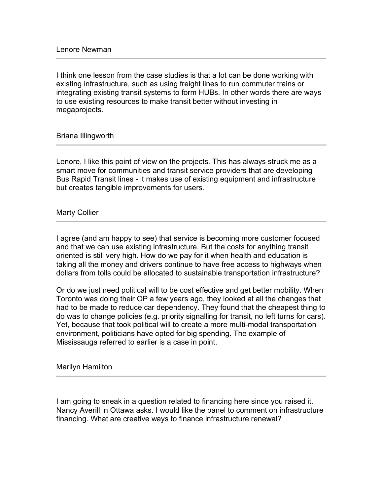I think one lesson from the case studies is that a lot can be done working with existing infrastructure, such as using freight lines to run commuter trains or integrating existing transit systems to form HUBs. In other words there are ways to use existing resources to make transit better without investing in megaprojects.

Briana Illingworth

Lenore, I like this point of view on the projects. This has always struck me as a smart move for communities and transit service providers that are developing Bus Rapid Transit lines - it makes use of existing equipment and infrastructure but creates tangible improvements for users.

### Marty Collier

I agree (and am happy to see) that service is becoming more customer focused and that we can use existing infrastructure. But the costs for anything transit oriented is still very high. How do we pay for it when health and education is taking all the money and drivers continue to have free access to highways when dollars from tolls could be allocated to sustainable transportation infrastructure?

Or do we just need political will to be cost effective and get better mobility. When Toronto was doing their OP a few years ago, they looked at all the changes that had to be made to reduce car dependency. They found that the cheapest thing to do was to change policies (e.g. priority signalling for transit, no left turns for cars). Yet, because that took political will to create a more multi-modal transportation environment, politicians have opted for big spending. The example of Mississauga referred to earlier is a case in point.

### Marilyn Hamilton

I am going to sneak in a question related to financing here since you raised it. Nancy Averill in Ottawa asks. I would like the panel to comment on infrastructure financing. What are creative ways to finance infrastructure renewal?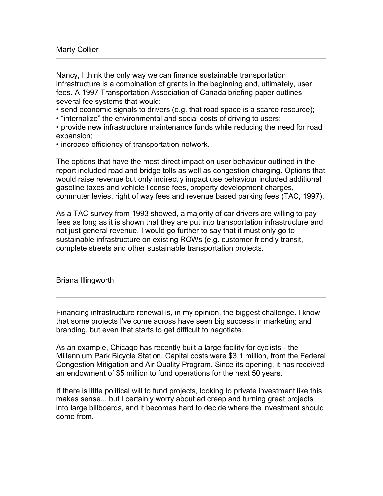Nancy, I think the only way we can finance sustainable transportation infrastructure is a combination of grants in the beginning and, ultimately, user fees. A 1997 Transportation Association of Canada briefing paper outlines several fee systems that would:

• send economic signals to drivers (e.g. that road space is a scarce resource);

• "internalize" the environmental and social costs of driving to users;

• provide new infrastructure maintenance funds while reducing the need for road expansion;

• increase efficiency of transportation network.

The options that have the most direct impact on user behaviour outlined in the report included road and bridge tolls as well as congestion charging. Options that would raise revenue but only indirectly impact use behaviour included additional gasoline taxes and vehicle license fees, property development charges, commuter levies, right of way fees and revenue based parking fees (TAC, 1997).

As a TAC survey from 1993 showed, a majority of car drivers are willing to pay fees as long as it is shown that they are put into transportation infrastructure and not just general revenue. I would go further to say that it must only go to sustainable infrastructure on existing ROWs (e.g. customer friendly transit, complete streets and other sustainable transportation projects.

Briana Illingworth

Financing infrastructure renewal is, in my opinion, the biggest challenge. I know that some projects I've come across have seen big success in marketing and branding, but even that starts to get difficult to negotiate.

As an example, Chicago has recently built a large facility for cyclists - the Millennium Park Bicycle Station. Capital costs were \$3.1 million, from the Federal Congestion Mitigation and Air Quality Program. Since its opening, it has received an endowment of \$5 million to fund operations for the next 50 years.

If there is little political will to fund projects, looking to private investment like this makes sense... but I certainly worry about ad creep and turning great projects into large billboards, and it becomes hard to decide where the investment should come from.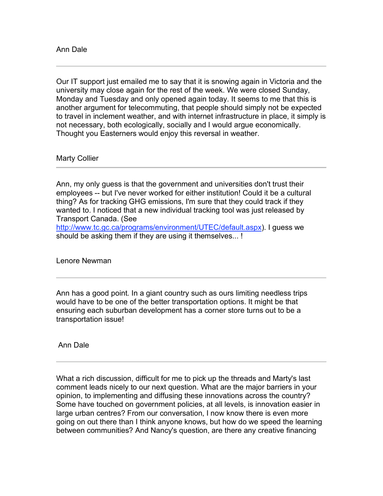Our IT support just emailed me to say that it is snowing again in Victoria and the university may close again for the rest of the week. We were closed Sunday, Monday and Tuesday and only opened again today. It seems to me that this is another argument for telecommuting, that people should simply not be expected to travel in inclement weather, and with internet infrastructure in place, it simply is not necessary, both ecologically, socially and I would argue economically. Thought you Easterners would enjoy this reversal in weather.

### Marty Collier

Ann, my only guess is that the government and universities don't trust their employees -- but I've never worked for either institution! Could it be a cultural thing? As for tracking GHG emissions, I'm sure that they could track if they wanted to. I noticed that a new individual tracking tool was just released by Transport Canada. (See

http://www.tc.gc.ca/programs/environment/UTEC/default.aspx). I guess we should be asking them if they are using it themselves... !

Lenore Newman

Ann has a good point. In a giant country such as ours limiting needless trips would have to be one of the better transportation options. It might be that ensuring each suburban development has a corner store turns out to be a transportation issue!

Ann Dale

What a rich discussion, difficult for me to pick up the threads and Marty's last comment leads nicely to our next question. What are the major barriers in your opinion, to implementing and diffusing these innovations across the country? Some have touched on government policies, at all levels, is innovation easier in large urban centres? From our conversation, I now know there is even more going on out there than I think anyone knows, but how do we speed the learning between communities? And Nancy's question, are there any creative financing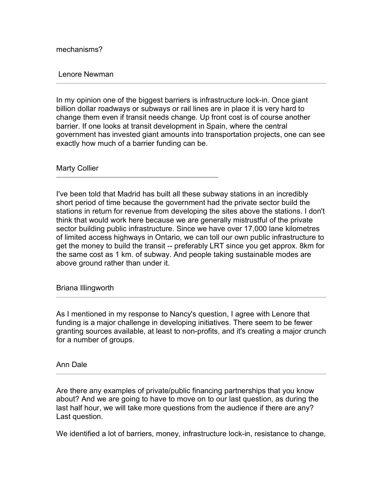mechanisms?

### Lenore Newman

In my opinion one of the biggest barriers is infrastructure lock-in. Once giant billion dollar roadways or subways or rail lines are in place it is very hard to change them even if transit needs change. Up front cost is of course another barrier. If one looks at transit development in Spain, where the central government has invested giant amounts into transportation projects, one can see exactly how much of a barrier funding can be.

Marty Collier

I've been told that Madrid has built all these subway stations in an incredibly short period of time because the government had the private sector build the stations in return for revenue from developing the sites above the stations. I don't think that would work here because we are generally mistrustful of the private sector building public infrastructure. Since we have over 17,000 lane kilometres of limited access highways in Ontario, we can toll our own public infrastructure to get the money to build the transit -- preferably LRT since you get approx. 8km for the same cost as 1 km. of subway. And people taking sustainable modes are above ground rather than under it.

Briana Illingworth

As I mentioned in my response to Nancy's question, I agree with Lenore that funding is a major challenge in developing initiatives. There seem to be fewer granting sources available, at least to non-profits, and it's creating a major crunch for a number of groups.

#### Ann Dale

Are there any examples of private/public financing partnerships that you know about? And we are going to have to move on to our last question, as during the last half hour, we will take more questions from the audience if there are any? Last question.

We identified a lot of barriers, money, infrastructure lock-in, resistance to change,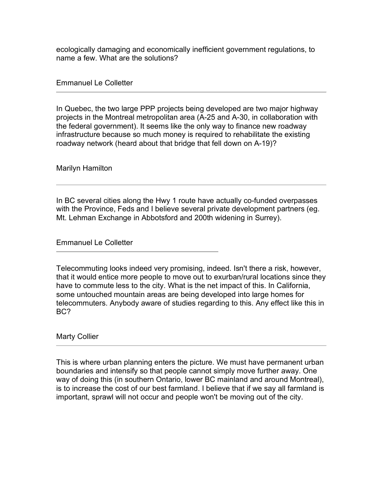ecologically damaging and economically inefficient government regulations, to name a few. What are the solutions?

Emmanuel Le Colletter

In Quebec, the two large PPP projects being developed are two major highway projects in the Montreal metropolitan area (A-25 and A-30, in collaboration with the federal government). It seems like the only way to finance new roadway infrastructure because so much money is required to rehabilitate the existing roadway network (heard about that bridge that fell down on A-19)?

Marilyn Hamilton

In BC several cities along the Hwy 1 route have actually co-funded overpasses with the Province, Feds and I believe several private development partners (eg. Mt. Lehman Exchange in Abbotsford and 200th widening in Surrey).

Emmanuel Le Colletter

Telecommuting looks indeed very promising, indeed. Isn't there a risk, however, that it would entice more people to move out to exurban/rural locations since they have to commute less to the city. What is the net impact of this. In California, some untouched mountain areas are being developed into large homes for telecommuters. Anybody aware of studies regarding to this. Any effect like this in BC?

Marty Collier

This is where urban planning enters the picture. We must have permanent urban boundaries and intensify so that people cannot simply move further away. One way of doing this (in southern Ontario, lower BC mainland and around Montreal), is to increase the cost of our best farmland. I believe that if we say all farmland is important, sprawl will not occur and people won't be moving out of the city.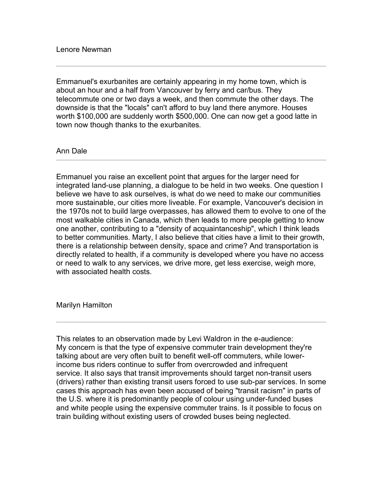Emmanuel's exurbanites are certainly appearing in my home town, which is about an hour and a half from Vancouver by ferry and car/bus. They telecommute one or two days a week, and then commute the other days. The downside is that the "locals" can't afford to buy land there anymore. Houses worth \$100,000 are suddenly worth \$500,000. One can now get a good latte in town now though thanks to the exurbanites.

### Ann Dale

Emmanuel you raise an excellent point that argues for the larger need for integrated land-use planning, a dialogue to be held in two weeks. One question I believe we have to ask ourselves, is what do we need to make our communities more sustainable, our cities more liveable. For example, Vancouver's decision in the 1970s not to build large overpasses, has allowed them to evolve to one of the most walkable cities in Canada, which then leads to more people getting to know one another, contributing to a "density of acquaintanceship", which I think leads to better communities. Marty, I also believe that cities have a limit to their growth, there is a relationship between density, space and crime? And transportation is directly related to health, if a community is developed where you have no access or need to walk to any services, we drive more, get less exercise, weigh more, with associated health costs.

Marilyn Hamilton

This relates to an observation made by Levi Waldron in the e-audience: My concern is that the type of expensive commuter train development they're talking about are very often built to benefit well-off commuters, while lowerincome bus riders continue to suffer from overcrowded and infrequent service. It also says that transit improvements should target non-transit users (drivers) rather than existing transit users forced to use sub-par services. In some cases this approach has even been accused of being "transit racism" in parts of the U.S. where it is predominantly people of colour using under-funded buses and white people using the expensive commuter trains. Is it possible to focus on train building without existing users of crowded buses being neglected.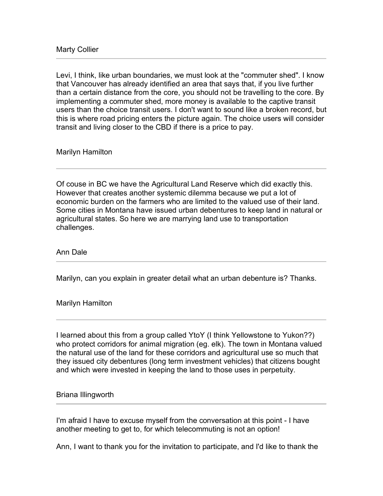Levi, I think, like urban boundaries, we must look at the "commuter shed". I know that Vancouver has already identified an area that says that, if you live further than a certain distance from the core, you should not be travelling to the core. By implementing a commuter shed, more money is available to the captive transit users than the choice transit users. I don't want to sound like a broken record, but this is where road pricing enters the picture again. The choice users will consider transit and living closer to the CBD if there is a price to pay.

Marilyn Hamilton

Of couse in BC we have the Agricultural Land Reserve which did exactly this. However that creates another systemic dilemma because we put a lot of economic burden on the farmers who are limited to the valued use of their land. Some cities in Montana have issued urban debentures to keep land in natural or agricultural states. So here we are marrying land use to transportation challenges.

Ann Dale

Marilyn, can you explain in greater detail what an urban debenture is? Thanks.

Marilyn Hamilton

I learned about this from a group called YtoY (I think Yellowstone to Yukon??) who protect corridors for animal migration (eg. elk). The town in Montana valued the natural use of the land for these corridors and agricultural use so much that they issued city debentures (long term investment vehicles) that citizens bought and which were invested in keeping the land to those uses in perpetuity.

Briana Illingworth

I'm afraid I have to excuse myself from the conversation at this point - I have another meeting to get to, for which telecommuting is not an option!

Ann, I want to thank you for the invitation to participate, and I'd like to thank the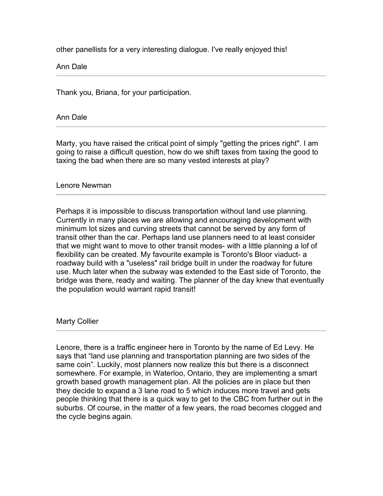other panellists for a very interesting dialogue. I've really enjoyed this!

Ann Dale

Thank you, Briana, for your participation.

Ann Dale

Marty, you have raised the critical point of simply "getting the prices right". I am going to raise a difficult question, how do we shift taxes from taxing the good to taxing the bad when there are so many vested interests at play?

Lenore Newman

Perhaps it is impossible to discuss transportation without land use planning. Currently in many places we are allowing and encouraging development with minimum lot sizes and curving streets that cannot be served by any form of transit other than the car. Perhaps land use planners need to at least consider that we might want to move to other transit modes- with a little planning a lof of flexibility can be created. My favourite example is Toronto's Bloor viaduct- a roadway build with a "useless" rail bridge built in under the roadway for future use. Much later when the subway was extended to the East side of Toronto, the bridge was there, ready and waiting. The planner of the day knew that eventually the population would warrant rapid transit!

Marty Collier

Lenore, there is a traffic engineer here in Toronto by the name of Ed Levy. He says that "land use planning and transportation planning are two sides of the same coin". Luckily, most planners now realize this but there is a disconnect somewhere. For example, in Waterloo, Ontario, they are implementing a smart growth based growth management plan. All the policies are in place but then they decide to expand a 3 lane road to 5 which induces more travel and gets people thinking that there is a quick way to get to the CBC from further out in the suburbs. Of course, in the matter of a few years, the road becomes clogged and the cycle begins again.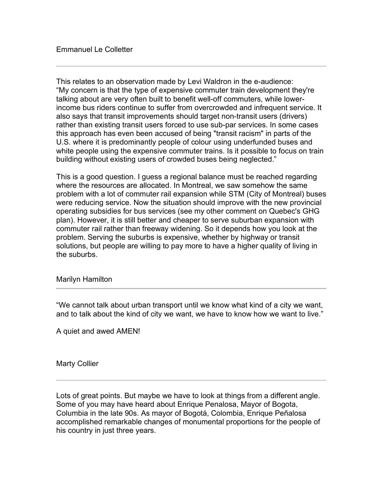This relates to an observation made by Levi Waldron in the e-audience: "My concern is that the type of expensive commuter train development they're talking about are very often built to benefit well-off commuters, while lowerincome bus riders continue to suffer from overcrowded and infrequent service. It also says that transit improvements should target non-transit users (drivers) rather than existing transit users forced to use sub-par services. In some cases this approach has even been accused of being "transit racism" in parts of the U.S. where it is predominantly people of colour using underfunded buses and white people using the expensive commuter trains. Is it possible to focus on train building without existing users of crowded buses being neglected."

This is a good question. I guess a regional balance must be reached regarding where the resources are allocated. In Montreal, we saw somehow the same problem with a lot of commuter rail expansion while STM (City of Montreal) buses were reducing service. Now the situation should improve with the new provincial operating subsidies for bus services (see my other comment on Quebec's GHG plan). However, it is still better and cheaper to serve suburban expansion with commuter rail rather than freeway widening. So it depends how you look at the problem. Serving the suburbs is expensive, whether by highway or transit solutions, but people are willing to pay more to have a higher quality of living in the suburbs.

# Marilyn Hamilton

"We cannot talk about urban transport until we know what kind of a city we want, and to talk about the kind of city we want, we have to know how we want to live."

A quiet and awed AMEN!

Marty Collier

Lots of great points. But maybe we have to look at things from a different angle. Some of you may have heard about Enrique Penalosa, Mayor of Bogota, Columbia in the late 90s. As mayor of Bogotá, Colombia, Enrique Peñalosa accomplished remarkable changes of monumental proportions for the people of his country in just three years.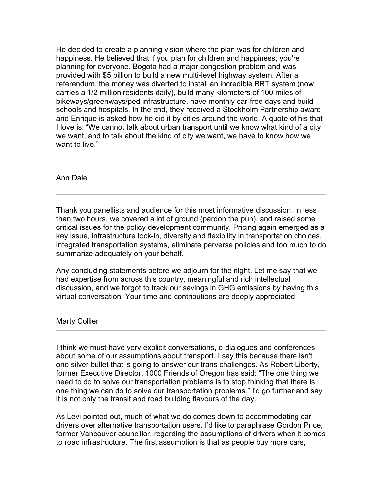He decided to create a planning vision where the plan was for children and happiness. He believed that if you plan for children and happiness, you're planning for everyone. Bogota had a major congestion problem and was provided with \$5 billion to build a new multi-level highway system. After a referendum, the money was diverted to install an incredible BRT system (now carries a 1/2 million residents daily), build many kilometers of 100 miles of bikeways/greenways/ped infrastructure, have monthly car-free days and build schools and hospitals. In the end, they received a Stockholm Partnership award and Enrique is asked how he did it by cities around the world. A quote of his that I love is: "We cannot talk about urban transport until we know what kind of a city we want, and to talk about the kind of city we want, we have to know how we want to live."

Ann Dale

Thank you panellists and audience for this most informative discussion. In less than two hours, we covered a lot of ground (pardon the pun), and raised some critical issues for the policy development community. Pricing again emerged as a key issue, infrastructure lock-in, diversity and flexibility in transportation choices, integrated transportation systems, eliminate perverse policies and too much to do summarize adequately on your behalf.

Any concluding statements before we adjourn for the night. Let me say that we had expertise from across this country, meaningful and rich intellectual discussion, and we forgot to track our savings in GHG emissions by having this virtual conversation. Your time and contributions are deeply appreciated.

Marty Collier

I think we must have very explicit conversations, e-dialogues and conferences about some of our assumptions about transport. I say this because there isn't one silver bullet that is going to answer our trans challenges. As Robert Liberty, former Executive Director, 1000 Friends of Oregon has said: "The one thing we need to do to solve our transportation problems is to stop thinking that there is one thing we can do to solve our transportation problems." I'd go further and say it is not only the transit and road building flavours of the day.

As Levi pointed out, much of what we do comes down to accommodating car drivers over alternative transportation users. I'd like to paraphrase Gordon Price, former Vancouver councillor, regarding the assumptions of drivers when it comes to road infrastructure. The first assumption is that as people buy more cars,